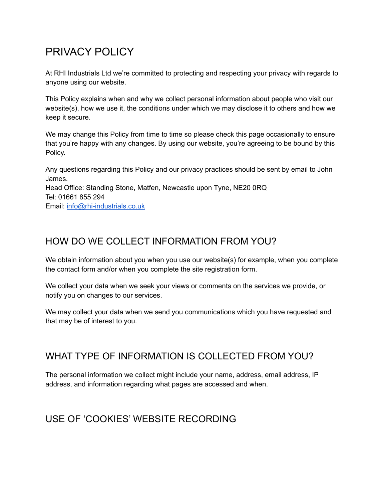# PRIVACY POLICY

At RHI Industrials Ltd we're committed to protecting and respecting your privacy with regards to anyone using our website.

This Policy explains when and why we collect personal information about people who visit our website(s), how we use it, the conditions under which we may disclose it to others and how we keep it secure.

We may change this Policy from time to time so please check this page occasionally to ensure that you're happy with any changes. By using our website, you're agreeing to be bound by this Policy.

Any questions regarding this Policy and our privacy practices should be sent by email to John James. Head Office: Standing Stone, Matfen, Newcastle upon Tyne, NE20 0RQ Tel: 01661 855 294 Email: [info@rhi-industrials.co.uk](mailto:info@modusagency.co.uk)

## HOW DO WE COLLECT INFORMATION FROM YOU?

We obtain information about you when you use our website(s) for example, when you complete the contact form and/or when you complete the site registration form.

We collect your data when we seek your views or comments on the services we provide, or notify you on changes to our services.

We may collect your data when we send you communications which you have requested and that may be of interest to you.

## WHAT TYPE OF INFORMATION IS COLLECTED FROM YOU?

The personal information we collect might include your name, address, email address, IP address, and information regarding what pages are accessed and when.

## USE OF 'COOKIES' WEBSITE RECORDING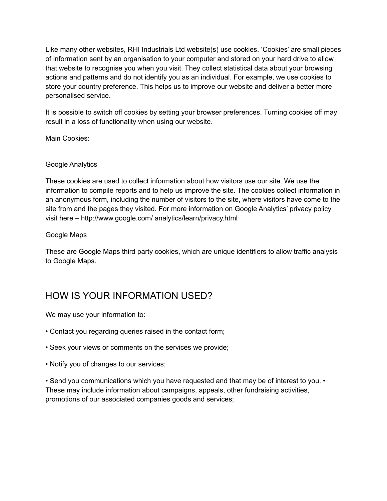Like many other websites, RHI Industrials Ltd website(s) use cookies. 'Cookies' are small pieces of information sent by an organisation to your computer and stored on your hard drive to allow that website to recognise you when you visit. They collect statistical data about your browsing actions and patterns and do not identify you as an individual. For example, we use cookies to store your country preference. This helps us to improve our website and deliver a better more personalised service.

It is possible to switch off cookies by setting your browser preferences. Turning cookies off may result in a loss of functionality when using our website.

Main Cookies:

#### Google Analytics

These cookies are used to collect information about how visitors use our site. We use the information to compile reports and to help us improve the site. The cookies collect information in an anonymous form, including the number of visitors to the site, where visitors have come to the site from and the pages they visited. For more information on Google Analytics' privacy policy visit here – http://www.google.com/ analytics/learn/privacy.html

#### Google Maps

These are Google Maps third party cookies, which are unique identifiers to allow traffic analysis to Google Maps.

## HOW IS YOUR INFORMATION USED?

We may use your information to:

- Contact you regarding queries raised in the contact form;
- Seek your views or comments on the services we provide;
- Notify you of changes to our services;

• Send you communications which you have requested and that may be of interest to you. • These may include information about campaigns, appeals, other fundraising activities, promotions of our associated companies goods and services;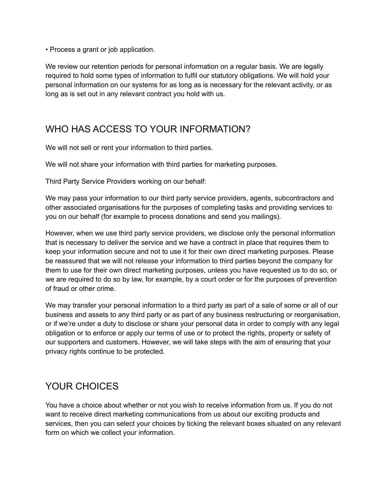• Process a grant or job application.

We review our retention periods for personal information on a regular basis. We are legally required to hold some types of information to fulfil our statutory obligations. We will hold your personal information on our systems for as long as is necessary for the relevant activity, or as long as is set out in any relevant contract you hold with us.

## WHO HAS ACCESS TO YOUR INFORMATION?

We will not sell or rent your information to third parties.

We will not share your information with third parties for marketing purposes.

Third Party Service Providers working on our behalf:

We may pass your information to our third party service providers, agents, subcontractors and other associated organisations for the purposes of completing tasks and providing services to you on our behalf (for example to process donations and send you mailings).

However, when we use third party service providers, we disclose only the personal information that is necessary to deliver the service and we have a contract in place that requires them to keep your information secure and not to use it for their own direct marketing purposes. Please be reassured that we will not release your information to third parties beyond the company for them to use for their own direct marketing purposes, unless you have requested us to do so, or we are required to do so by law, for example, by a court order or for the purposes of prevention of fraud or other crime.

We may transfer your personal information to a third party as part of a sale of some or all of our business and assets to any third party or as part of any business restructuring or reorganisation, or if we're under a duty to disclose or share your personal data in order to comply with any legal obligation or to enforce or apply our terms of use or to protect the rights, property or safety of our supporters and customers. However, we will take steps with the aim of ensuring that your privacy rights continue to be protected.

## YOUR CHOICES

You have a choice about whether or not you wish to receive information from us. If you do not want to receive direct marketing communications from us about our exciting products and services, then you can select your choices by ticking the relevant boxes situated on any relevant form on which we collect your information.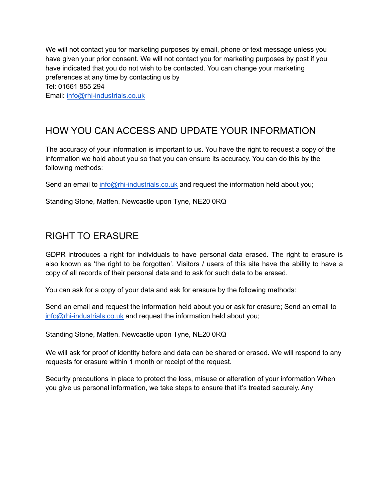We will not contact you for marketing purposes by email, phone or text message unless you have given your prior consent. We will not contact you for marketing purposes by post if you have indicated that you do not wish to be contacted. You can change your marketing preferences at any time by contacting us by Tel: 01661 855 294 Email: info@[rhi-industrials.co.uk](mailto:info@modusagency.co.uk)

## HOW YOU CAN ACCESS AND UPDATE YOUR INFORMATION

The accuracy of your information is important to us. You have the right to request a copy of the information we hold about you so that you can ensure its accuracy. You can do this by the following methods:

Send an email to info@[rhi-industrials.co.uk](mailto:info@modusagency.co.uk) and request the information held about you;

Standing Stone, Matfen, Newcastle upon Tyne, NE20 0RQ

### RIGHT TO ERASURE

GDPR introduces a right for individuals to have personal data erased. The right to erasure is also known as 'the right to be forgotten'. Visitors / users of this site have the ability to have a copy of all records of their personal data and to ask for such data to be erased.

You can ask for a copy of your data and ask for erasure by the following methods:

Send an email and request the information held about you or ask for erasure; Send an email to info@rhi-industrials.co.uk and request the information held about you;

Standing Stone, Matfen, Newcastle upon Tyne, NE20 0RQ

We will ask for proof of identity before and data can be shared or erased. We will respond to any requests for erasure within 1 month or receipt of the request.

Security precautions in place to protect the loss, misuse or alteration of your information When you give us personal information, we take steps to ensure that it's treated securely. Any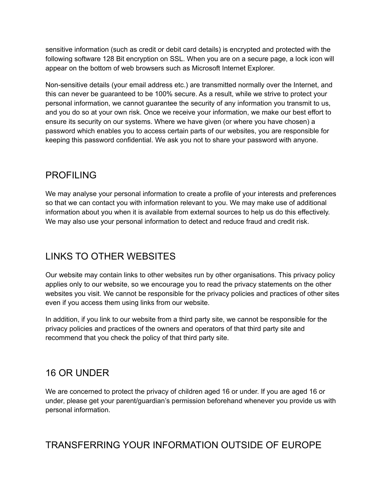sensitive information (such as credit or debit card details) is encrypted and protected with the following software 128 Bit encryption on SSL. When you are on a secure page, a lock icon will appear on the bottom of web browsers such as Microsoft Internet Explorer.

Non-sensitive details (your email address etc.) are transmitted normally over the Internet, and this can never be guaranteed to be 100% secure. As a result, while we strive to protect your personal information, we cannot guarantee the security of any information you transmit to us, and you do so at your own risk. Once we receive your information, we make our best effort to ensure its security on our systems. Where we have given (or where you have chosen) a password which enables you to access certain parts of our websites, you are responsible for keeping this password confidential. We ask you not to share your password with anyone.

## PROFILING

We may analyse your personal information to create a profile of your interests and preferences so that we can contact you with information relevant to you. We may make use of additional information about you when it is available from external sources to help us do this effectively. We may also use your personal information to detect and reduce fraud and credit risk.

## LINKS TO OTHER WEBSITES

Our website may contain links to other websites run by other organisations. This privacy policy applies only to our website, so we encourage you to read the privacy statements on the other websites you visit. We cannot be responsible for the privacy policies and practices of other sites even if you access them using links from our website.

In addition, if you link to our website from a third party site, we cannot be responsible for the privacy policies and practices of the owners and operators of that third party site and recommend that you check the policy of that third party site.

## 16 OR UNDER

We are concerned to protect the privacy of children aged 16 or under. If you are aged 16 or under, please get your parent/guardian's permission beforehand whenever you provide us with personal information.

#### TRANSFERRING YOUR INFORMATION OUTSIDE OF EUROPE